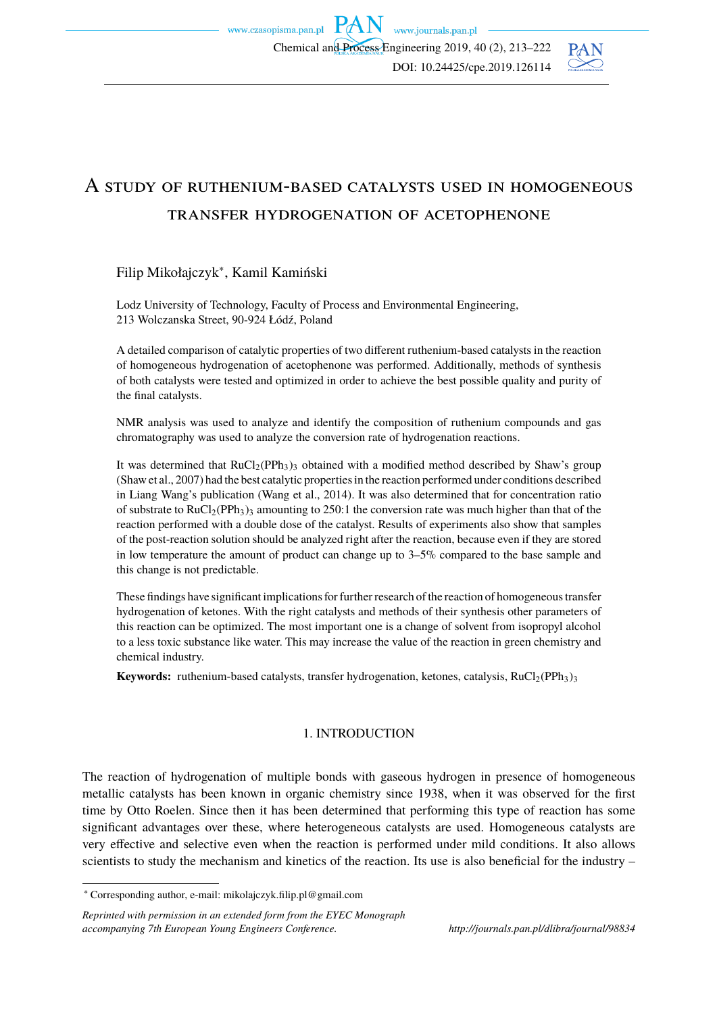

# A study of ruthenium-based catalysts used in homogeneous transfer hydrogenation of acetophenone

## Filip Mikołajczyk<sup>∗</sup> , Kamil Kamiński

Lodz University of Technology, Faculty of Process and Environmental Engineering, 213 Wolczanska Street, 90-924 Łódź, Poland

A detailed comparison of catalytic properties of two different ruthenium-based catalysts in the reaction of homogeneous hydrogenation of acetophenone was performed. Additionally, methods of synthesis of both catalysts were tested and optimized in order to achieve the best possible quality and purity of the final catalysts.

NMR analysis was used to analyze and identify the composition of ruthenium compounds and gas chromatography was used to analyze the conversion rate of hydrogenation reactions.

It was determined that  $RuCl<sub>2</sub>(PPh<sub>3</sub>)<sub>3</sub>$  obtained with a modified method described by Shaw's group (Shaw et al., 2007) had the best catalytic properties in the reaction performed under conditions described in Liang Wang's publication (Wang et al., 2014). It was also determined that for concentration ratio of substrate to RuCl<sub>2</sub>(PPh<sub>3</sub>)<sub>3</sub> amounting to 250:1 the conversion rate was much higher than that of the reaction performed with a double dose of the catalyst. Results of experiments also show that samples of the post-reaction solution should be analyzed right after the reaction, because even if they are stored in low temperature the amount of product can change up to 3–5% compared to the base sample and this change is not predictable.

These findings have significant implications for further research of the reaction of homogeneous transfer hydrogenation of ketones. With the right catalysts and methods of their synthesis other parameters of this reaction can be optimized. The most important one is a change of solvent from isopropyl alcohol to a less toxic substance like water. This may increase the value of the reaction in green chemistry and chemical industry.

**Keywords:** ruthenium-based catalysts, transfer hydrogenation, ketones, catalysis, RuCl<sub>2</sub>(PPh<sub>3</sub>)<sub>3</sub>

## 1. INTRODUCTION

The reaction of hydrogenation of multiple bonds with gaseous hydrogen in presence of homogeneous metallic catalysts has been known in organic chemistry since 1938, when it was observed for the first time by Otto Roelen. Since then it has been determined that performing this type of reaction has some significant advantages over these, where heterogeneous catalysts are used. Homogeneous catalysts are very effective and selective even when the reaction is performed under mild conditions. It also allows scientists to study the mechanism and kinetics of the reaction. Its use is also beneficial for the industry –

<sup>∗</sup> Corresponding author, e-mail: mikolajczyk.filip.pl@gmail.com

*Reprinted with permission in an extended form from the EYEC Monograph accompanying 7th European Young Engineers Conference. http://journals.pan.pl/dlibra/journal/98834*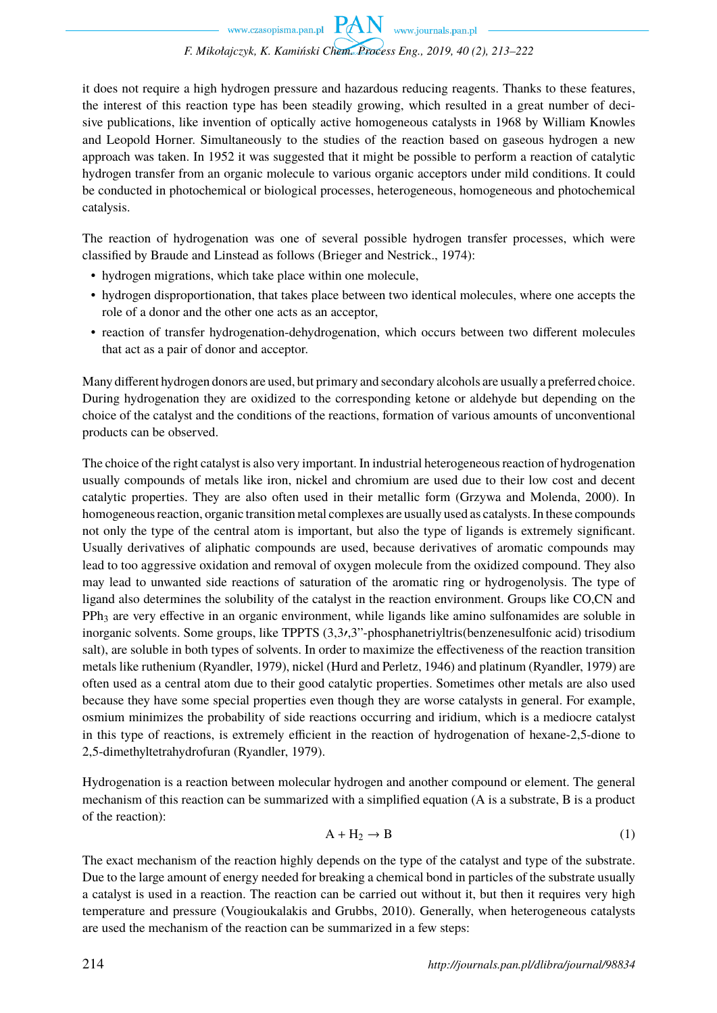it does not require a high hydrogen pressure and hazardous reducing reagents. Thanks to these features, the interest of this reaction type has been steadily growing, which resulted in a great number of decisive publications, like invention of optically active homogeneous catalysts in 1968 by William Knowles and Leopold Horner. Simultaneously to the studies of the reaction based on gaseous hydrogen a new approach was taken. In 1952 it was suggested that it might be possible to perform a reaction of catalytic hydrogen transfer from an organic molecule to various organic acceptors under mild conditions. It could be conducted in photochemical or biological processes, heterogeneous, homogeneous and photochemical catalysis.

The reaction of hydrogenation was one of several possible hydrogen transfer processes, which were classified by Braude and Linstead as follows (Brieger and Nestrick., 1974):

- hydrogen migrations, which take place within one molecule,
- hydrogen disproportionation, that takes place between two identical molecules, where one accepts the role of a donor and the other one acts as an acceptor,
- reaction of transfer hydrogenation-dehydrogenation, which occurs between two different molecules that act as a pair of donor and acceptor.

Many different hydrogen donors are used, but primary and secondary alcohols are usually a preferred choice. During hydrogenation they are oxidized to the corresponding ketone or aldehyde but depending on the choice of the catalyst and the conditions of the reactions, formation of various amounts of unconventional products can be observed.

The choice of the right catalyst is also very important. In industrial heterogeneous reaction of hydrogenation usually compounds of metals like iron, nickel and chromium are used due to their low cost and decent catalytic properties. They are also often used in their metallic form (Grzywa and Molenda, 2000). In homogeneous reaction, organic transition metal complexes are usually used as catalysts. In these compounds not only the type of the central atom is important, but also the type of ligands is extremely significant. Usually derivatives of aliphatic compounds are used, because derivatives of aromatic compounds may lead to too aggressive oxidation and removal of oxygen molecule from the oxidized compound. They also may lead to unwanted side reactions of saturation of the aromatic ring or hydrogenolysis. The type of ligand also determines the solubility of the catalyst in the reaction environment. Groups like CO,CN and PPh<sub>3</sub> are very effective in an organic environment, while ligands like amino sulfonamides are soluble in inorganic solvents. Some groups, like TPPTS (3,3′,3"-phosphanetriyltris(benzenesulfonic acid) trisodium salt), are soluble in both types of solvents. In order to maximize the effectiveness of the reaction transition metals like ruthenium (Ryandler, 1979), nickel (Hurd and Perletz, 1946) and platinum (Ryandler, 1979) are often used as a central atom due to their good catalytic properties. Sometimes other metals are also used because they have some special properties even though they are worse catalysts in general. For example, osmium minimizes the probability of side reactions occurring and iridium, which is a mediocre catalyst in this type of reactions, is extremely efficient in the reaction of hydrogenation of hexane-2,5-dione to 2,5-dimethyltetrahydrofuran (Ryandler, 1979).

Hydrogenation is a reaction between molecular hydrogen and another compound or element. The general mechanism of this reaction can be summarized with a simplified equation (A is a substrate, B is a product of the reaction):

$$
A + H_2 \to B \tag{1}
$$

The exact mechanism of the reaction highly depends on the type of the catalyst and type of the substrate. Due to the large amount of energy needed for breaking a chemical bond in particles of the substrate usually a catalyst is used in a reaction. The reaction can be carried out without it, but then it requires very high temperature and pressure (Vougioukalakis and Grubbs, 2010). Generally, when heterogeneous catalysts are used the mechanism of the reaction can be summarized in a few steps: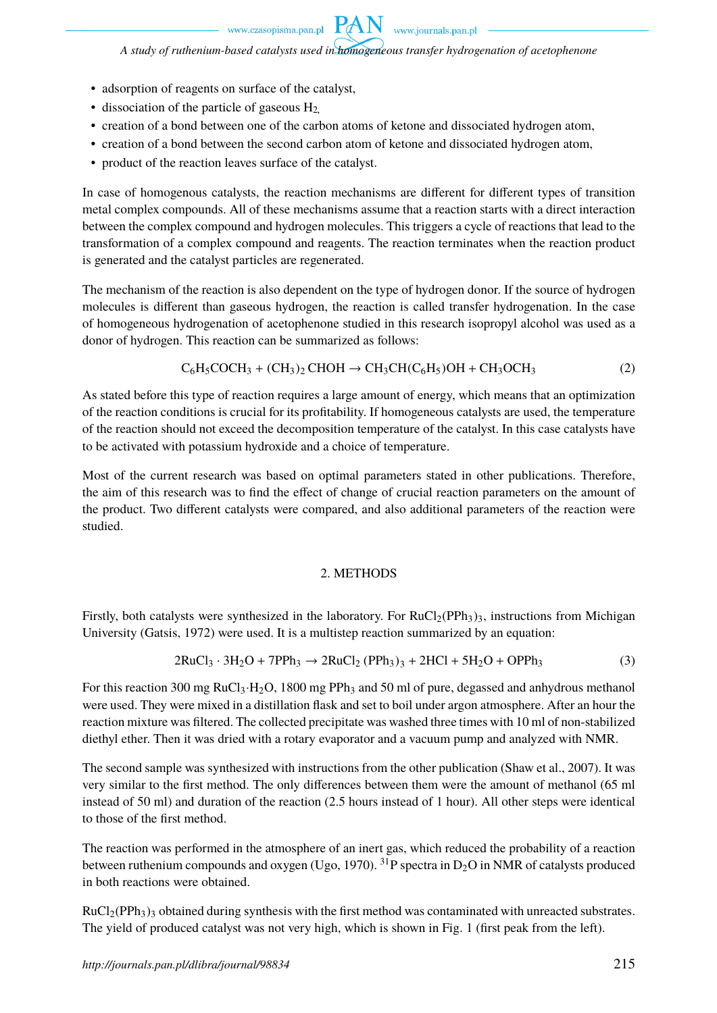www.journals.pan.pl

*A study of ruthenium-based catalysts used in homogeneous transfer hydrogenation of acetophenone*

**PAN** 

- adsorption of reagents on surface of the catalyst,
- dissociation of the particle of gaseous  $H_2$
- creation of a bond between one of the carbon atoms of ketone and dissociated hydrogen atom,
- creation of a bond between the second carbon atom of ketone and dissociated hydrogen atom,
- product of the reaction leaves surface of the catalyst.

In case of homogenous catalysts, the reaction mechanisms are different for different types of transition metal complex compounds. All of these mechanisms assume that a reaction starts with a direct interaction between the complex compound and hydrogen molecules. This triggers a cycle of reactions that lead to the transformation of a complex compound and reagents. The reaction terminates when the reaction product is generated and the catalyst particles are regenerated.

The mechanism of the reaction is also dependent on the type of hydrogen donor. If the source of hydrogen molecules is different than gaseous hydrogen, the reaction is called transfer hydrogenation. In the case of homogeneous hydrogenation of acetophenone studied in this research isopropyl alcohol was used as a donor of hydrogen. This reaction can be summarized as follows:

$$
C_6H_5COCH_3 + (CH_3)_2\text{CHOH} \rightarrow CH_3CH(C_6H_5)\text{OH} + CH_3OCH_3\tag{2}
$$

As stated before this type of reaction requires a large amount of energy, which means that an optimization of the reaction conditions is crucial for its profitability. If homogeneous catalysts are used, the temperature of the reaction should not exceed the decomposition temperature of the catalyst. In this case catalysts have to be activated with potassium hydroxide and a choice of temperature.

Most of the current research was based on optimal parameters stated in other publications. Therefore, the aim of this research was to find the effect of change of crucial reaction parameters on the amount of the product. Two different catalysts were compared, and also additional parameters of the reaction were studied.

#### 2. METHODS

Firstly, both catalysts were synthesized in the laboratory. For  $RuCl<sub>2</sub>(PPh<sub>3</sub>)<sub>3</sub>$ , instructions from Michigan University (Gatsis, 1972) were used. It is a multistep reaction summarized by an equation:

$$
2RuCl3 \cdot 3H2O + 7PPh3 \rightarrow 2RuCl2 (PPh3)3 + 2HCl + 5H2O + OPPh3
$$
 (3)

For this reaction 300 mg RuCl<sub>3</sub>·H<sub>2</sub>O, 1800 mg PPh<sub>3</sub> and 50 ml of pure, degassed and anhydrous methanol were used. They were mixed in a distillation flask and set to boil under argon atmosphere. After an hour the reaction mixture was filtered. The collected precipitate was washed three times with 10 ml of non-stabilized diethyl ether. Then it was dried with a rotary evaporator and a vacuum pump and analyzed with NMR.

The second sample was synthesized with instructions from the other publication (Shaw et al., 2007). It was very similar to the first method. The only differences between them were the amount of methanol (65 ml instead of 50 ml) and duration of the reaction (2.5 hours instead of 1 hour). All other steps were identical to those of the first method.

The reaction was performed in the atmosphere of an inert gas, which reduced the probability of a reaction between ruthenium compounds and oxygen (Ugo, 1970). <sup>31</sup>P spectra in  $D_2O$  in NMR of catalysts produced in both reactions were obtained.

 $RuCl<sub>2</sub>(PPh<sub>3</sub>)<sub>3</sub>$  obtained during synthesis with the first method was contaminated with unreacted substrates. The yield of produced catalyst was not very high, which is shown in Fig. 1 (first peak from the left).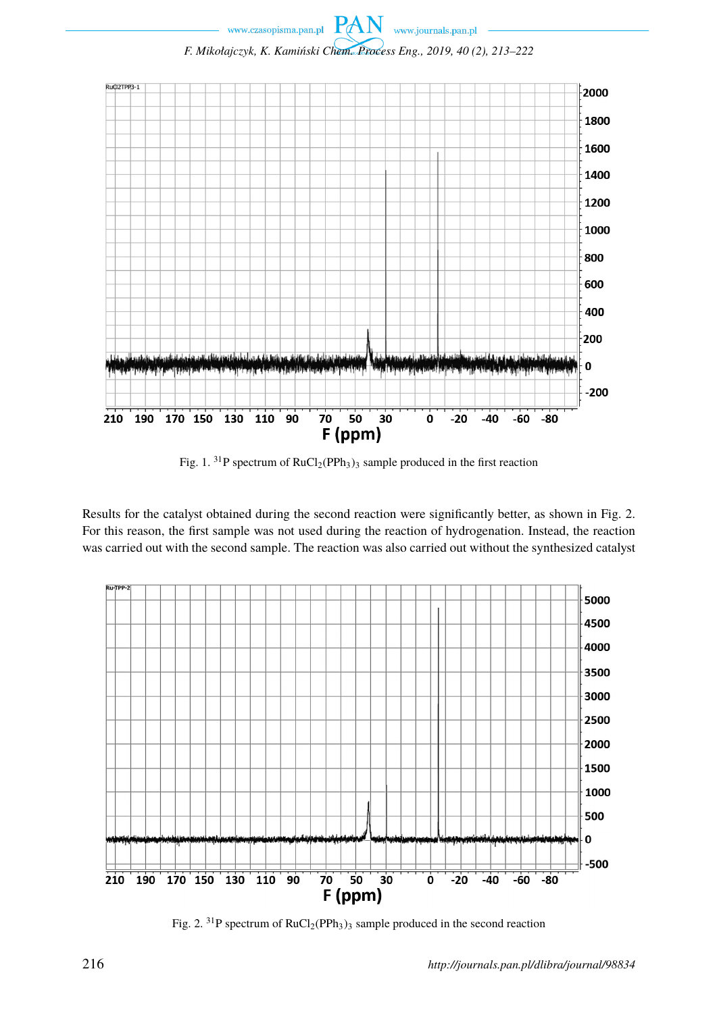

Fig. 1. <sup>31</sup>P spectrum of  $RuCl<sub>2</sub>(PPh<sub>3</sub>)<sub>3</sub>$  sample produced in the first reaction

Results for the catalyst obtained during the second reaction were significantly better, as shown in Fig. 2. For this reason, the first sample was not used during the reaction of hydrogenation. Instead, the reaction was carried out with the second sample. The reaction was also carried out without the synthesized catalyst



Fig. 2.  $^{31}P$  spectrum of RuCl<sub>2</sub>(PPh<sub>3</sub>)<sub>3</sub> sample produced in the second reaction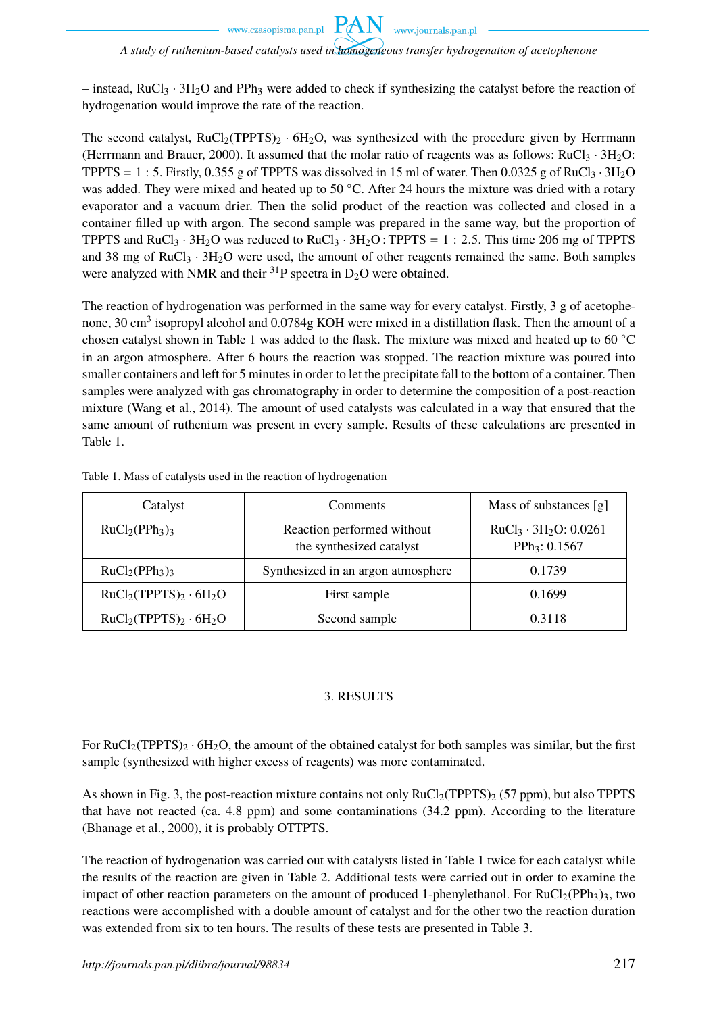www.czasopisma.pan.pl

#### *A study of ruthenium-based catalysts used in homogeneous transfer hydrogenation of acetophenone*

**PAN** 

www.journals.pan.pl

– instead,  $RuCl_3 \cdot 3H_2O$  and PPh<sub>3</sub> were added to check if synthesizing the catalyst before the reaction of hydrogenation would improve the rate of the reaction.

The second catalyst,  $RuCl<sub>2</sub>(TPPTS)<sub>2</sub> · 6H<sub>2</sub>O$ , was synthesized with the procedure given by Herrmann (Herrmann and Brauer, 2000). It assumed that the molar ratio of reagents was as follows: RuCl<sub>3</sub> · 3H<sub>2</sub>O: TPPTS = 1 : 5. Firstly, 0.355 g of TPPTS was dissolved in 15 ml of water. Then 0.0325 g of RuCl<sub>3</sub> · 3H<sub>2</sub>O was added. They were mixed and heated up to 50 °C. After 24 hours the mixture was dried with a rotary evaporator and a vacuum drier. Then the solid product of the reaction was collected and closed in a container filled up with argon. The second sample was prepared in the same way, but the proportion of TPPTS and RuCl<sub>3</sub> · 3H<sub>2</sub>O was reduced to RuCl<sub>3</sub> · 3H<sub>2</sub>O : TPPTS = 1 : 2.5. This time 206 mg of TPPTS and 38 mg of RuCl<sub>3</sub> ·  $3H<sub>2</sub>O$  were used, the amount of other reagents remained the same. Both samples were analyzed with NMR and their  $^{31}P$  spectra in D<sub>2</sub>O were obtained.

The reaction of hydrogenation was performed in the same way for every catalyst. Firstly, 3 g of acetophenone, 30 cm<sup>3</sup> isopropyl alcohol and 0.0784g KOH were mixed in a distillation flask. Then the amount of a chosen catalyst shown in Table 1 was added to the flask. The mixture was mixed and heated up to 60 ◦C in an argon atmosphere. After 6 hours the reaction was stopped. The reaction mixture was poured into smaller containers and left for 5 minutes in order to let the precipitate fall to the bottom of a container. Then samples were analyzed with gas chromatography in order to determine the composition of a post-reaction mixture (Wang et al., 2014). The amount of used catalysts was calculated in a way that ensured that the same amount of ruthenium was present in every sample. Results of these calculations are presented in Table 1.

| Catalyst               | <b>Comments</b>                                        | Mass of substances [g]                                   |  |
|------------------------|--------------------------------------------------------|----------------------------------------------------------|--|
| $RuCl2(PPh3)3$         | Reaction performed without<br>the synthesized catalyst | $RuCl3 \cdot 3H2O$ : 0.0261<br>PPh <sub>3</sub> : 0.1567 |  |
| $RuCl2(PPh3)3$         | Synthesized in an argon atmosphere                     | 0.1739                                                   |  |
| $RuCl2(TPPTS)2 · 6H2O$ | First sample                                           | 0.1699                                                   |  |
| $RuCl2(TPPTS)2 · 6H2O$ | Second sample                                          | 0.3118                                                   |  |

Table 1. Mass of catalysts used in the reaction of hydrogenation

### 3. RESULTS

For RuCl<sub>2</sub>(TPPTS)<sub>2</sub> · 6H<sub>2</sub>O, the amount of the obtained catalyst for both samples was similar, but the first sample (synthesized with higher excess of reagents) was more contaminated.

As shown in Fig. 3, the post-reaction mixture contains not only  $RuCl<sub>2</sub>(TPPTS)<sub>2</sub>$  (57 ppm), but also TPPTS that have not reacted (ca. 4.8 ppm) and some contaminations (34.2 ppm). According to the literature (Bhanage et al., 2000), it is probably OTTPTS.

The reaction of hydrogenation was carried out with catalysts listed in Table 1 twice for each catalyst while the results of the reaction are given in Table 2. Additional tests were carried out in order to examine the impact of other reaction parameters on the amount of produced 1-phenylethanol. For  $RuCl<sub>2</sub>(PPh<sub>3</sub>)<sub>3</sub>$ , two reactions were accomplished with a double amount of catalyst and for the other two the reaction duration was extended from six to ten hours. The results of these tests are presented in Table 3.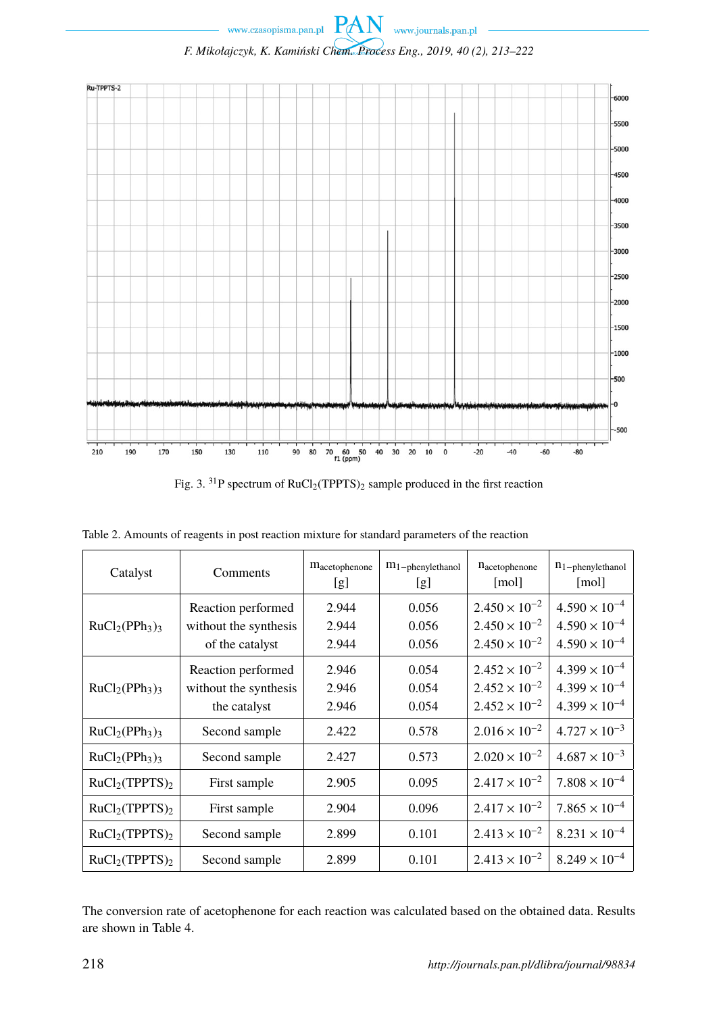

 $\begin{minipage}{.4\linewidth} {\normalsize \begin{tabular}{l} \hline \textbf{www.czasopisma.pan.pl} \end{tabular}} \end{minipage} \begin{minipage}{.45\linewidth} \textbf{PAN} & \textbf{www.journals.pan.pl} \end{minipage} \end{minipage} \begin{minipage}{.45\linewidth} \end{minipage} \vspace{0.5cm}$ 

Fig. 3. <sup>31</sup>P spectrum of  $RuCl<sub>2</sub>(TPPTS)<sub>2</sub>$  sample produced in the first reaction

| Catalyst                               | Comments                                                       | m <sub>acetophenone</sub><br>[g] | $m_1$ -phenylethanol<br>[g] | $n_{\text{acceptophenone}}$<br>[mol]                                       | $n_{1-phenylethanol}$<br>[mol]                                             |
|----------------------------------------|----------------------------------------------------------------|----------------------------------|-----------------------------|----------------------------------------------------------------------------|----------------------------------------------------------------------------|
| $RuCl2(PPh3)3$                         | Reaction performed<br>without the synthesis<br>of the catalyst | 2.944<br>2.944<br>2.944          | 0.056<br>0.056<br>0.056     | $2.450 \times 10^{-2}$<br>$2.450 \times 10^{-2}$<br>$2.450 \times 10^{-2}$ | $4.590 \times 10^{-4}$<br>$4.590 \times 10^{-4}$<br>$4.590 \times 10^{-4}$ |
| $RuCl2(PPh3)3$                         | Reaction performed<br>without the synthesis<br>the catalyst    | 2.946<br>2.946<br>2.946          | 0.054<br>0.054<br>0.054     | $2.452 \times 10^{-2}$<br>$2.452 \times 10^{-2}$<br>$2.452 \times 10^{-2}$ | $4.399 \times 10^{-4}$<br>$4.399 \times 10^{-4}$<br>$4.399 \times 10^{-4}$ |
| $RuCl2(PPh3)3$                         | Second sample                                                  | 2.422                            | 0.578                       | $2.016 \times 10^{-2}$                                                     | $4.727 \times 10^{-3}$                                                     |
| $RuCl2(PPh3)3$                         | Second sample                                                  | 2.427                            | 0.573                       | $2.020 \times 10^{-2}$                                                     | $4.687 \times 10^{-3}$                                                     |
| RuCl <sub>2</sub> (TPPTS) <sub>2</sub> | First sample                                                   | 2.905                            | 0.095                       | $2.417 \times 10^{-2}$                                                     | $7.808 \times 10^{-4}$                                                     |
| RuCl <sub>2</sub> (TPPTS) <sub>2</sub> | First sample                                                   | 2.904                            | 0.096                       | $2.417 \times 10^{-2}$                                                     | $7.865 \times 10^{-4}$                                                     |
| RuCl <sub>2</sub> (TPPTS) <sub>2</sub> | Second sample                                                  | 2.899                            | 0.101                       | $2.413 \times 10^{-2}$                                                     | $8.231 \times 10^{-4}$                                                     |
| RuCl <sub>2</sub> (TPPTS) <sub>2</sub> | Second sample                                                  | 2.899                            | 0.101                       | $2.413 \times 10^{-2}$                                                     | $8.249 \times 10^{-4}$                                                     |

Table 2. Amounts of reagents in post reaction mixture for standard parameters of the reaction

The conversion rate of acetophenone for each reaction was calculated based on the obtained data. Results are shown in Table 4.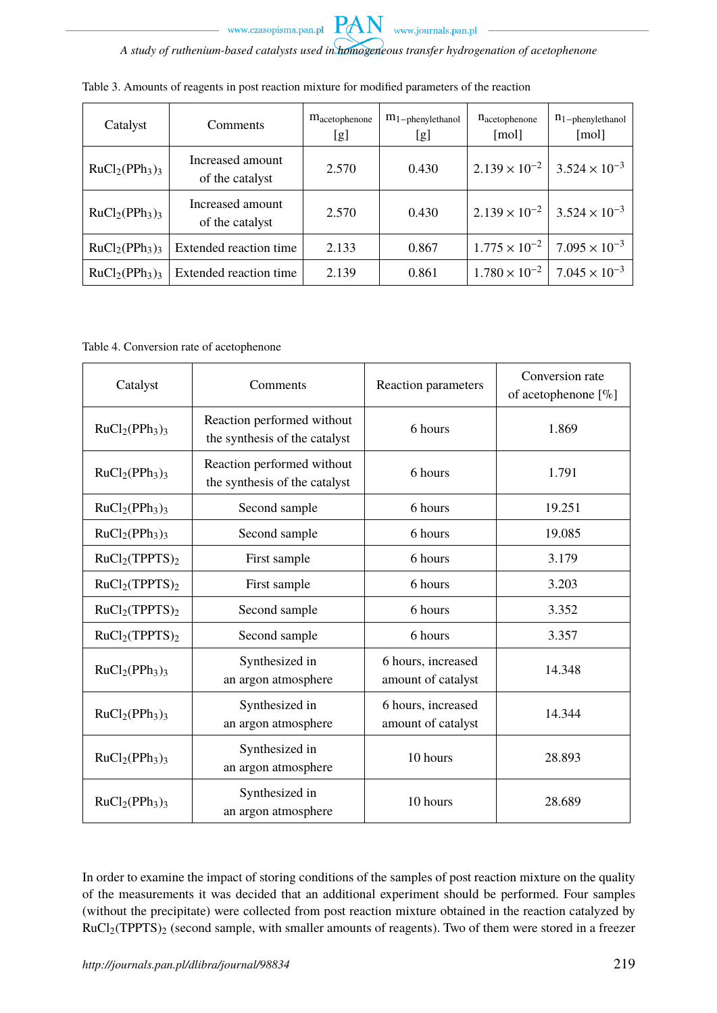

*A study of ruthenium-based catalysts used in homogeneous transfer hydrogenation of acetophenone*

PAN

| Catalyst       | Comments                            | <b>Macetophenone</b><br>[g] | $m_1$ -phenylethanol<br>[g] | $n_{\text{acetophenone}}$<br>[mol] | $n_{1-phenylethanol}$<br>[mol] |
|----------------|-------------------------------------|-----------------------------|-----------------------------|------------------------------------|--------------------------------|
| $RuCl2(PPh3)3$ | Increased amount<br>of the catalyst | 2.570                       | 0.430                       | $2.139 \times 10^{-2}$             | $3.524 \times 10^{-3}$         |
| $RuCl2(PPh3)3$ | Increased amount<br>of the catalyst | 2.570                       | 0.430                       | $2.139 \times 10^{-2}$             | $3.524 \times 10^{-3}$         |
| $RuCl2(PPh3)3$ | Extended reaction time              | 2.133                       | 0.867                       | $1.775 \times 10^{-2}$             | $7.095 \times 10^{-3}$         |
| $RuCl2(PPh3)3$ | Extended reaction time              | 2.139                       | 0.861                       | $1.780 \times 10^{-2}$             | $7.045 \times 10^{-3}$         |

Table 4. Conversion rate of acetophenone

| Catalyst                               | Comments                                                               | Reaction parameters                      | Conversion rate<br>of acetophenone $[\%]$ |
|----------------------------------------|------------------------------------------------------------------------|------------------------------------------|-------------------------------------------|
| $RuCl2(PPh3)3$                         | Reaction performed without<br>the synthesis of the catalyst            | 6 hours                                  | 1.869                                     |
| $RuCl2(PPh3)3$                         | Reaction performed without<br>6 hours<br>the synthesis of the catalyst |                                          | 1.791                                     |
| $RuCl2(PPh3)3$                         | Second sample                                                          | 6 hours                                  | 19.251                                    |
| $RuCl2(PPh3)3$                         | Second sample                                                          | 6 hours                                  | 19.085                                    |
| RuCl <sub>2</sub> (TPPTS) <sub>2</sub> | First sample                                                           | 6 hours                                  | 3.179                                     |
| RuCl <sub>2</sub> (TPPTS) <sub>2</sub> | First sample                                                           | 6 hours                                  | 3.203                                     |
| RuCl <sub>2</sub> (TPPTS) <sub>2</sub> | Second sample                                                          | 6 hours                                  | 3.352                                     |
| RuCl <sub>2</sub> (TPPTS) <sub>2</sub> | Second sample                                                          | 6 hours                                  | 3.357                                     |
| $RuCl2(PPh3)3$                         | Synthesized in<br>an argon atmosphere                                  | 6 hours, increased<br>amount of catalyst | 14.348                                    |
| $RuCl2(PPh3)3$                         | Synthesized in<br>an argon atmosphere                                  | 6 hours, increased<br>amount of catalyst | 14.344                                    |
| $RuCl2(PPh3)3$                         | Synthesized in<br>an argon atmosphere                                  | 10 hours                                 | 28.893                                    |
| $RuCl2(PPh3)3$                         | Synthesized in<br>an argon atmosphere                                  | 10 hours                                 | 28.689                                    |

In order to examine the impact of storing conditions of the samples of post reaction mixture on the quality of the measurements it was decided that an additional experiment should be performed. Four samples (without the precipitate) were collected from post reaction mixture obtained in the reaction catalyzed by  $RuCl<sub>2</sub>(TPPTS)<sub>2</sub>$  (second sample, with smaller amounts of reagents). Two of them were stored in a freezer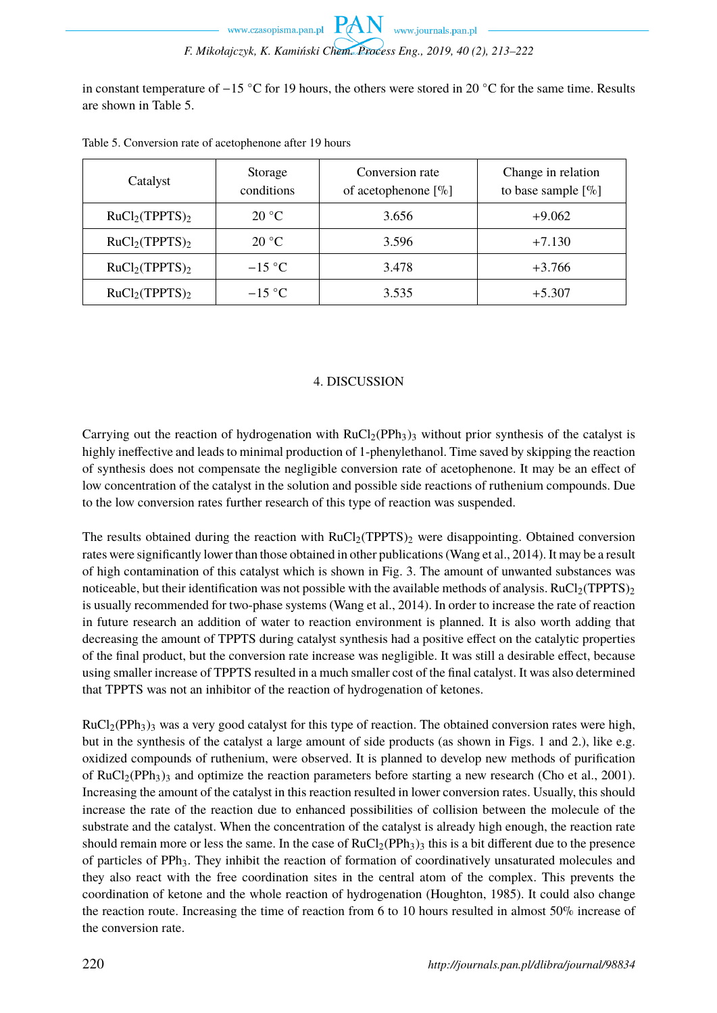in constant temperature of −15 ◦C for 19 hours, the others were stored in 20 ◦C for the same time. Results are shown in Table 5.

| Catalyst                               | Storage<br>conditions | Conversion rate<br>of acetophenone $[\%]$ | Change in relation<br>to base sample $[\%]$ |
|----------------------------------------|-----------------------|-------------------------------------------|---------------------------------------------|
| RuCl <sub>2</sub> (TPPTS) <sub>2</sub> | $20^{\circ}$ C        | 3.656                                     | $+9.062$                                    |
| RuCl <sub>2</sub> (TPPTS) <sub>2</sub> | $20^{\circ}$ C        | 3.596                                     | $+7.130$                                    |
| RuCl <sub>2</sub> (TPPTS) <sub>2</sub> | $-15$ °C              | 3.478                                     | $+3.766$                                    |
| RuCl <sub>2</sub> (TPPTS) <sub>2</sub> | $-15$ °C              | 3.535                                     | $+5.307$                                    |

Table 5. Conversion rate of acetophenone after 19 hours

#### 4. DISCUSSION

Carrying out the reaction of hydrogenation with  $RuCl<sub>2</sub>(PPh<sub>3</sub>)<sub>3</sub>$  without prior synthesis of the catalyst is highly ineffective and leads to minimal production of 1-phenylethanol. Time saved by skipping the reaction of synthesis does not compensate the negligible conversion rate of acetophenone. It may be an effect of low concentration of the catalyst in the solution and possible side reactions of ruthenium compounds. Due to the low conversion rates further research of this type of reaction was suspended.

The results obtained during the reaction with  $RuCl<sub>2</sub>(TPPTS)<sub>2</sub>$  were disappointing. Obtained conversion rates were significantly lower than those obtained in other publications (Wang et al., 2014). It may be a result of high contamination of this catalyst which is shown in Fig. 3. The amount of unwanted substances was noticeable, but their identification was not possible with the available methods of analysis. RuCl<sub>2</sub>(TPPTS)<sub>2</sub> is usually recommended for two-phase systems (Wang et al., 2014). In order to increase the rate of reaction in future research an addition of water to reaction environment is planned. It is also worth adding that decreasing the amount of TPPTS during catalyst synthesis had a positive effect on the catalytic properties of the final product, but the conversion rate increase was negligible. It was still a desirable effect, because using smaller increase of TPPTS resulted in a much smaller cost of the final catalyst. It was also determined that TPPTS was not an inhibitor of the reaction of hydrogenation of ketones.

 $RuCl<sub>2</sub>(PPh<sub>3</sub>)<sub>3</sub>$  was a very good catalyst for this type of reaction. The obtained conversion rates were high, but in the synthesis of the catalyst a large amount of side products (as shown in Figs. 1 and 2.), like e.g. oxidized compounds of ruthenium, were observed. It is planned to develop new methods of purification of  $RuCl<sub>2</sub>(PPh<sub>3</sub>)<sub>3</sub>$  and optimize the reaction parameters before starting a new research (Cho et al., 2001). Increasing the amount of the catalyst in this reaction resulted in lower conversion rates. Usually, this should increase the rate of the reaction due to enhanced possibilities of collision between the molecule of the substrate and the catalyst. When the concentration of the catalyst is already high enough, the reaction rate should remain more or less the same. In the case of  $RuCl<sub>2</sub>(PPh<sub>3</sub>)<sub>3</sub>$  this is a bit different due to the presence of particles of PPh3. They inhibit the reaction of formation of coordinatively unsaturated molecules and they also react with the free coordination sites in the central atom of the complex. This prevents the coordination of ketone and the whole reaction of hydrogenation (Houghton, 1985). It could also change the reaction route. Increasing the time of reaction from 6 to 10 hours resulted in almost 50% increase of the conversion rate.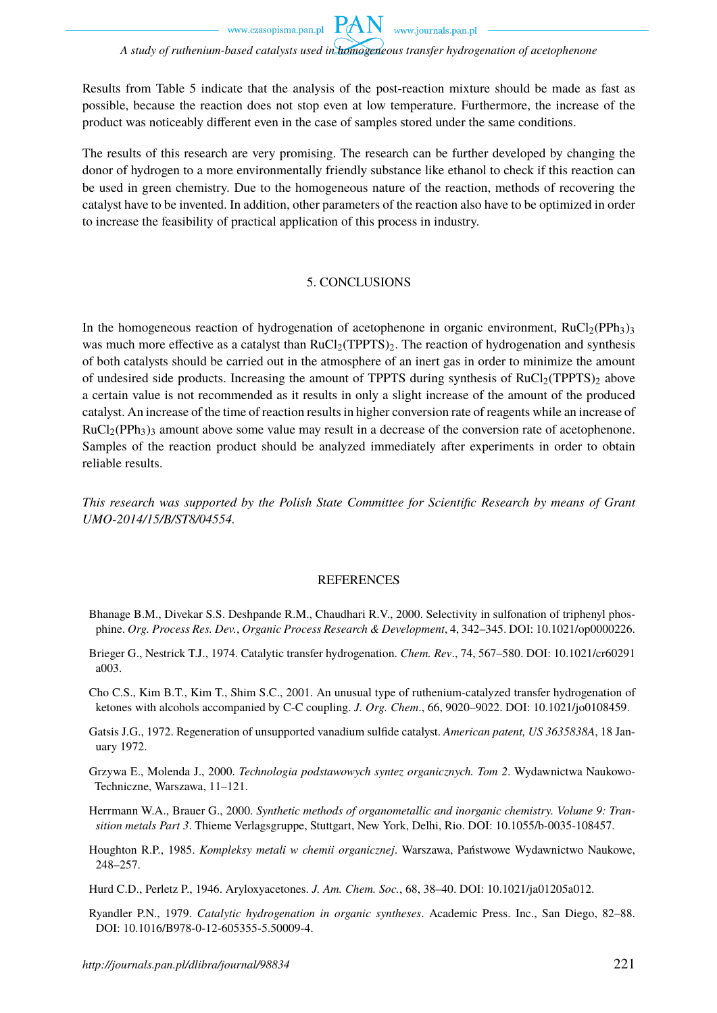www.journals.pan.pl

#### *A study of ruthenium-based catalysts used in homogeneous transfer hydrogenation of acetophenone*

**PAN** 

Results from Table 5 indicate that the analysis of the post-reaction mixture should be made as fast as possible, because the reaction does not stop even at low temperature. Furthermore, the increase of the product was noticeably different even in the case of samples stored under the same conditions.

The results of this research are very promising. The research can be further developed by changing the donor of hydrogen to a more environmentally friendly substance like ethanol to check if this reaction can be used in green chemistry. Due to the homogeneous nature of the reaction, methods of recovering the catalyst have to be invented. In addition, other parameters of the reaction also have to be optimized in order to increase the feasibility of practical application of this process in industry.

#### 5. CONCLUSIONS

In the homogeneous reaction of hydrogenation of acetophenone in organic environment,  $RuCl<sub>2</sub>(PPh<sub>3</sub>)<sub>3</sub>$ was much more effective as a catalyst than  $RuCl<sub>2</sub>(TPPTS)<sub>2</sub>$ . The reaction of hydrogenation and synthesis of both catalysts should be carried out in the atmosphere of an inert gas in order to minimize the amount of undesired side products. Increasing the amount of TPPTS during synthesis of  $RuCl<sub>2</sub>(TPTS)<sub>2</sub>$  above a certain value is not recommended as it results in only a slight increase of the amount of the produced catalyst. An increase of the time of reaction results in higher conversion rate of reagents while an increase of  $RuCl<sub>2</sub>(PPh<sub>3</sub>)<sub>3</sub>$  amount above some value may result in a decrease of the conversion rate of acetophenone. Samples of the reaction product should be analyzed immediately after experiments in order to obtain reliable results.

*This research was supported by the Polish State Committee for Scientific Research by means of Grant UMO-2014/15/B/ST8/04554.*

#### REFERENCES

- Bhanage B.M., Divekar S.S. Deshpande R.M., Chaudhari R.V., 2000. Selectivity in sulfonation of triphenyl phosphine. *Org. Process Res. Dev.*, *Organic Process Research & Development*, 4, 342–345. DOI: 10.1021/op0000226.
- Brieger G., Nestrick T.J., 1974. Catalytic transfer hydrogenation. *Chem. Rev*., 74, 567–580. DOI: 10.1021/cr60291 a003.
- Cho C.S., Kim B.T., Kim T., Shim S.C., 2001. An unusual type of ruthenium-catalyzed transfer hydrogenation of ketones with alcohols accompanied by C-C coupling. *J. Org. Chem*., 66, 9020–9022. DOI: 10.1021/jo0108459.
- Gatsis J.G., 1972. Regeneration of unsupported vanadium sulfide catalyst. *American patent, US 3635838A*, 18 January 1972.
- Grzywa E., Molenda J., 2000. *Technologia podstawowych syntez organicznych. Tom 2*. Wydawnictwa Naukowo-Techniczne, Warszawa, 11–121.
- Herrmann W.A., Brauer G., 2000. *Synthetic methods of organometallic and inorganic chemistry. Volume 9: Transition metals Part 3*. Thieme Verlagsgruppe, Stuttgart, New York, Delhi, Rio. DOI: 10.1055/b-0035-108457.
- Houghton R.P., 1985. *Kompleksy metali w chemii organicznej*. Warszawa, Państwowe Wydawnictwo Naukowe, 248–257.
- Hurd C.D., Perletz P., 1946. Aryloxyacetones. *J. Am. Chem. Soc.*, 68, 38–40. DOI: 10.1021/ja01205a012.
- Ryandler P.N., 1979. *Catalytic hydrogenation in organic syntheses*. Academic Press. Inc., San Diego, 82–88. DOI: 10.1016/B978-0-12-605355-5.50009-4.